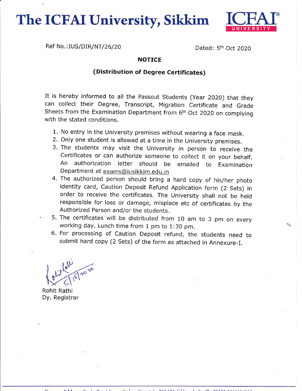The ICFAI University, Sikkim



Ref No.: IUS/DIR/NT/26/20 Dated: 5<sup>th</sup> Oct 2020

## **NOTICE**

## (Distribution of Degree Certificates)

It is hereby informed to all the Passout Students (Year 2020) that they can collect their Degree, Transcript, Migration Certificate and Grade  $\cdot$  Sheets from the Examination Department from 6<sup>th</sup> Oct 2020 on complying with the stated conditions.

- 1. No entry in the University premises without wearing a face mask.
- 2. Only one student is allowed at a time in the University premises.
- 3. The students may visit the University in person to receive the Certificates or can authorize someone to collect it on your behalf. An authorization letter should be emailed to Examination Department at exams@iusikkim.edu, in
- 4. The authorized person should bring a hard copy of his/her photo identity card, caution Deposit Refund Application form (2 Sets) in order to receive the certificates. The University shall not be held responsible for loss or damage, misplace etc of certificates by the Authorized Person and/or the students.
- 5. The certificates'will be distributed from 10 am to 3 pm on every working day. Lunch time from 1 pm to 1:30 pm.
- 6. For processing of caution Deposit refund, the students need to submit hard copy (2 sets) of the form as attached in Annexure-I.

 $\omega$  $\gamma^{\circ}$ 

Rohit Rathi Dy. Registrar